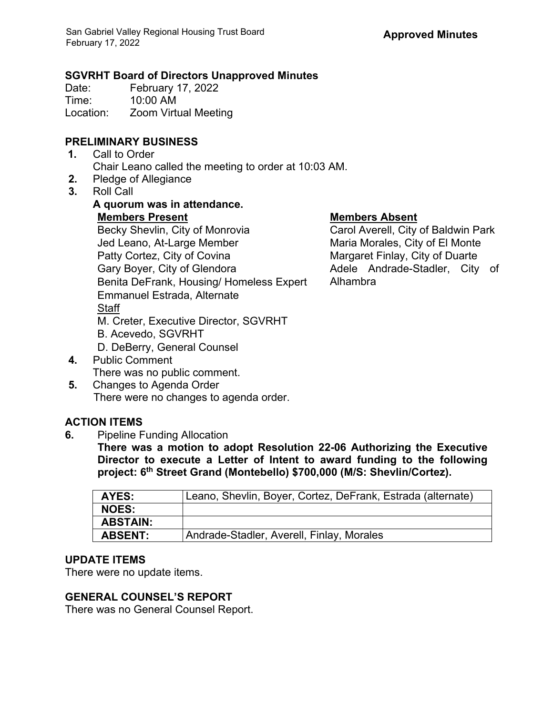#### **SGVRHT Board of Directors Unapproved Minutes**

Date: February 17, 2022<br>Time: 10:00 AM 10:00 AM Location: Zoom Virtual Meeting

## **PRELIMINARY BUSINESS**

- **1.** Call to Order Chair Leano called the meeting to order at 10:03 AM.
- **2.** Pledge of Allegiance
- **3.** Roll Call

## **A quorum was in attendance. Members Present Members Absent** Becky Shevlin, City of Monrovia Jed Leano, At-Large Member Patty Cortez, City of Covina Gary Boyer, City of Glendora Benita DeFrank, Housing/ Homeless Expert Emmanuel Estrada, Alternate **Staff** M. Creter, Executive Director, SGVRHT B. Acevedo, SGVRHT D. DeBerry, General Counsel

- **4.** Public Comment There was no public comment.
- **5.** Changes to Agenda Order There were no changes to agenda order.

# **ACTION ITEMS**

**6.** Pipeline Funding Allocation

**There was a motion to adopt Resolution 22-06 Authorizing the Executive Director to execute a Letter of Intent to award funding to the following project: 6th Street Grand (Montebello) \$700,000 (M/S: Shevlin/Cortez).**

| Leano, Shevlin, Boyer, Cortez, DeFrank, Estrada (alternate) |
|-------------------------------------------------------------|
|                                                             |
|                                                             |
| Andrade-Stadler, Averell, Finlay, Morales                   |
|                                                             |

#### **UPDATE ITEMS**

There were no update items.

## **GENERAL COUNSEL'S REPORT**

There was no General Counsel Report.

Carol Averell, City of Baldwin Park Maria Morales, City of El Monte Margaret Finlay, City of Duarte Adele Andrade-Stadler, City of Alhambra